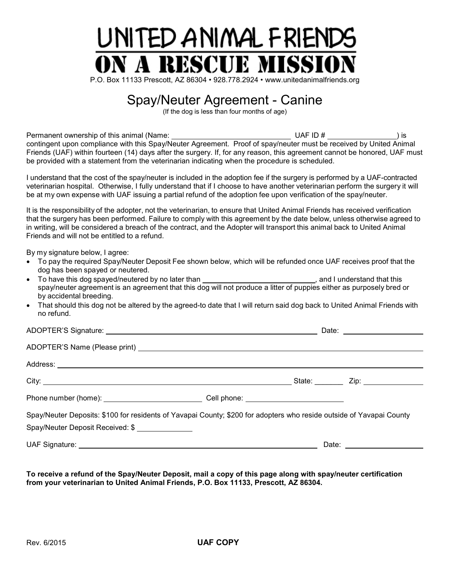

## Spay/Neuter Agreement - Canine

(If the dog is less than four months of age)

Permanent ownership of this animal (Name: UAF ID # ) is contingent upon compliance with this Spay/Neuter Agreement. Proof of spay/neuter must be received by United Animal Friends (UAF) within fourteen (14) days after the surgery. If, for any reason, this agreement cannot be honored, UAF must be provided with a statement from the veterinarian indicating when the procedure is scheduled.

I understand that the cost of the spay/neuter is included in the adoption fee if the surgery is performed by a UAF-contracted veterinarian hospital. Otherwise, I fully understand that if I choose to have another veterinarian perform the surgery it will be at my own expense with UAF issuing a partial refund of the adoption fee upon verification of the spay/neuter.

It is the responsibility of the adopter, not the veterinarian, to ensure that United Animal Friends has received verification that the surgery has been performed. Failure to comply with this agreement by the date below, unless otherwise agreed to in writing, will be considered a breach of the contract, and the Adopter will transport this animal back to United Animal Friends and will not be entitled to a refund.

By my signature below, I agree:

- To pay the required Spay/Neuter Deposit Fee shown below, which will be refunded once UAF receives proof that the dog has been spayed or neutered.
- To have this dog spayed/neutered by no later than \_\_\_\_\_\_\_\_\_\_\_\_\_\_\_\_\_\_\_\_\_\_\_\_\_\_\_\_, and I understand that this spay/neuter agreement is an agreement that this dog will not produce a litter of puppies either as purposely bred or by accidental breeding.
- That should this dog not be altered by the agreed-to date that I will return said dog back to United Animal Friends with no refund.

|                                                                                                                                                          |  | Date: ________________________ |
|----------------------------------------------------------------------------------------------------------------------------------------------------------|--|--------------------------------|
|                                                                                                                                                          |  |                                |
|                                                                                                                                                          |  |                                |
|                                                                                                                                                          |  |                                |
|                                                                                                                                                          |  |                                |
| Spay/Neuter Deposits: \$100 for residents of Yavapai County; \$200 for adopters who reside outside of Yavapai County<br>Spay/Neuter Deposit Received: \$ |  |                                |
|                                                                                                                                                          |  | Date: ___________________      |

**To receive a refund of the Spay/Neuter Deposit, mail a copy of this page along with spay/neuter certification from your veterinarian to United Animal Friends, P.O. Box 11133, Prescott, AZ 86304.**